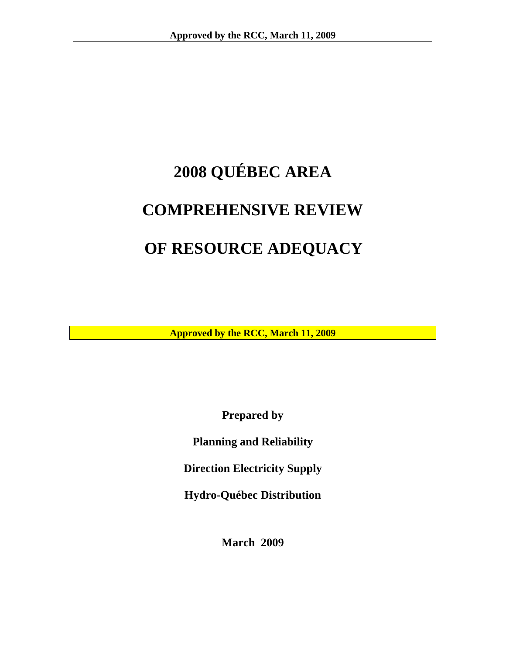# **2008 QUÉBEC AREA COMPREHENSIVE REVIEW OF RESOURCE ADEQUACY**

**Approved by the RCC, March 11, 2009** 

**Prepared by** 

**Planning and Reliability** 

**Direction Electricity Supply** 

**Hydro-Québec Distribution** 

**March 2009**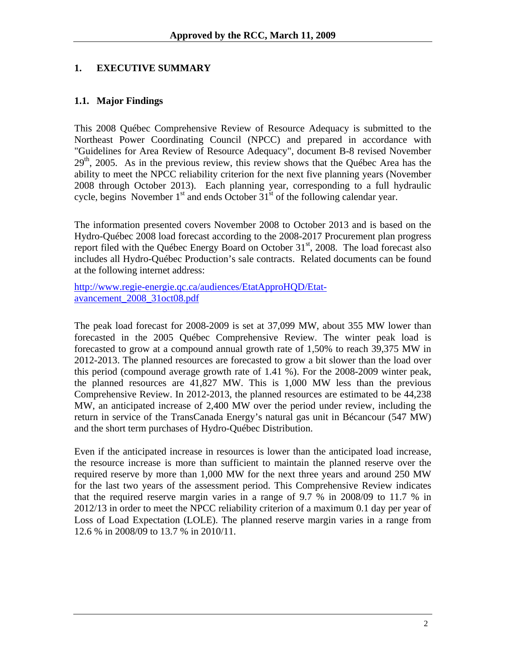# <span id="page-2-0"></span>**1. EXECUTIVE SUMMARY**

## **1.1. Major Findings**

This 2008 Québec Comprehensive Review of Resource Adequacy is submitted to the Northeast Power Coordinating Council (NPCC) and prepared in accordance with "Guidelines for Area Review of Resource Adequacy", document B-8 revised November  $29<sup>th</sup>$ , 2005. As in the previous review, this review shows that the Québec Area has the ability to meet the NPCC reliability criterion for the next five planning years (November 2008 through October 2013). Each planning year, corresponding to a full hydraulic cycle, begins November  $1<sup>st</sup>$  and ends October  $31<sup>st</sup>$  of the following calendar year.

The information presented covers November 2008 to October 2013 and is based on the Hydro-Québec 2008 load forecast according to the 2008-2017 Procurement plan progress report filed with the Québec Energy Board on October  $31<sup>st</sup>$ , 2008. The load forecast also includes all Hydro-Québec Production's sale contracts. Related documents can be found at the following internet address:

[http://www.regie-energie.qc.ca/audiences/EtatApproHQD/Etat](http://www.regie-energie.qc.ca/audiences/EtatApproHQD/Etat-avancement_2008_31oct08.pdf)[avancement\\_2008\\_31oct08.pdf](http://www.regie-energie.qc.ca/audiences/EtatApproHQD/Etat-avancement_2008_31oct08.pdf)

The peak load forecast for 2008-2009 is set at 37,099 MW, about 355 MW lower than forecasted in the 2005 Québec Comprehensive Review. The winter peak load is forecasted to grow at a compound annual growth rate of 1,50% to reach 39,375 MW in 2012-2013. The planned resources are forecasted to grow a bit slower than the load over this period (compound average growth rate of 1.41 %). For the 2008-2009 winter peak, the planned resources are 41,827 MW. This is 1,000 MW less than the previous Comprehensive Review. In 2012-2013, the planned resources are estimated to be 44,238 MW, an anticipated increase of 2,400 MW over the period under review, including the return in service of the TransCanada Energy's natural gas unit in Bécancour (547 MW) and the short term purchases of Hydro-Québec Distribution.

Even if the anticipated increase in resources is lower than the anticipated load increase, the resource increase is more than sufficient to maintain the planned reserve over the required reserve by more than 1,000 MW for the next three years and around 250 MW for the last two years of the assessment period. This Comprehensive Review indicates that the required reserve margin varies in a range of 9.7 % in 2008/09 to 11.7 % in 2012/13 in order to meet the NPCC reliability criterion of a maximum 0.1 day per year of Loss of Load Expectation (LOLE). The planned reserve margin varies in a range from 12.6 % in 2008/09 to 13.7 % in 2010/11.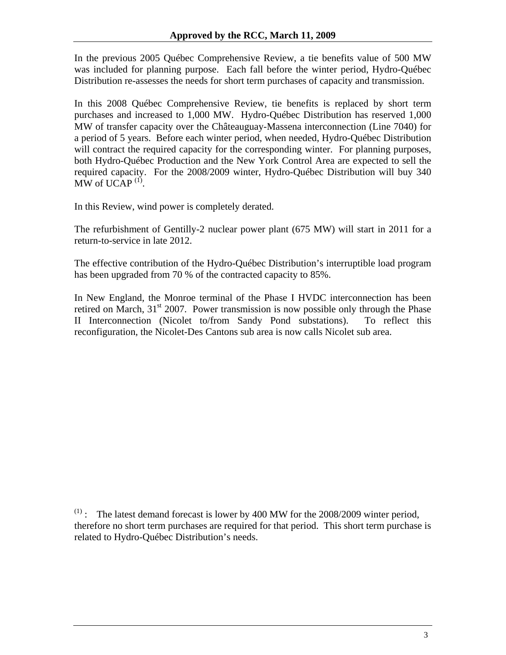In the previous 2005 Québec Comprehensive Review, a tie benefits value of 500 MW was included for planning purpose. Each fall before the winter period, Hydro-Québec Distribution re-assesses the needs for short term purchases of capacity and transmission.

In this 2008 Québec Comprehensive Review, tie benefits is replaced by short term purchases and increased to 1,000 MW. Hydro-Québec Distribution has reserved 1,000 MW of transfer capacity over the Châteauguay-Massena interconnection (Line 7040) for a period of 5 years. Before each winter period, when needed, Hydro-Québec Distribution will contract the required capacity for the corresponding winter. For planning purposes, both Hydro-Québec Production and the New York Control Area are expected to sell the required capacity. For the 2008/2009 winter, Hydro-Québec Distribution will buy 340 MW of UCAP $(1)$ .

In this Review, wind power is completely derated.

The refurbishment of Gentilly-2 nuclear power plant (675 MW) will start in 2011 for a return-to-service in late 2012.

The effective contribution of the Hydro-Québec Distribution's interruptible load program has been upgraded from 70 % of the contracted capacity to 85%.

In New England, the Monroe terminal of the Phase I HVDC interconnection has been retired on March,  $31<sup>st</sup> 2007$ . Power transmission is now possible only through the Phase II Interconnection (Nicolet to/from Sandy Pond substations). To reflect this reconfiguration, the Nicolet-Des Cantons sub area is now calls Nicolet sub area.

 $(1)$ : The latest demand forecast is lower by 400 MW for the 2008/2009 winter period, therefore no short term purchases are required for that period. This short term purchase is related to Hydro-Québec Distribution's needs.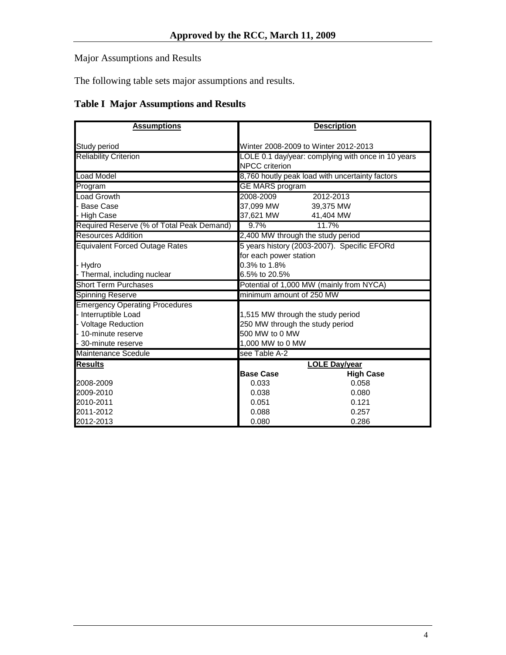<span id="page-4-0"></span>Major Assumptions and Results

The following table sets major assumptions and results.

# **Table I Major Assumptions and Results**

| <b>Assumptions</b>                        | <b>Description</b>                          |                                                    |  |  |
|-------------------------------------------|---------------------------------------------|----------------------------------------------------|--|--|
|                                           |                                             |                                                    |  |  |
| Study period                              | Winter 2008-2009 to Winter 2012-2013        |                                                    |  |  |
| <b>Reliability Criterion</b>              |                                             | LOLE 0.1 day/year: complying with once in 10 years |  |  |
|                                           | <b>NPCC</b> criterion                       |                                                    |  |  |
| <b>Load Model</b>                         |                                             | 8,760 houtly peak load with uncertainty factors    |  |  |
| Program                                   | <b>GE MARS program</b>                      |                                                    |  |  |
| <b>Load Growth</b>                        | 2008-2009                                   | 2012-2013                                          |  |  |
| <b>Base Case</b>                          | 37,099 MW                                   | 39.375 MW                                          |  |  |
| - High Case                               | 37,621 MW                                   | 41,404 MW                                          |  |  |
| Required Reserve (% of Total Peak Demand) | 9.7%                                        | 11.7%                                              |  |  |
| <b>Resources Addition</b>                 | 2,400 MW through the study period           |                                                    |  |  |
| <b>Equivalent Forced Outage Rates</b>     | 5 years history (2003-2007). Specific EFORd |                                                    |  |  |
|                                           | for each power station                      |                                                    |  |  |
| - Hydro                                   | 0.3% to 1.8%                                |                                                    |  |  |
| - Thermal, including nuclear              | 6.5% to 20.5%                               |                                                    |  |  |
| <b>Short Term Purchases</b>               |                                             | Potential of 1,000 MW (mainly from NYCA)           |  |  |
| <b>Spinning Reserve</b>                   | minimum amount of 250 MW                    |                                                    |  |  |
| <b>Emergency Operating Procedures</b>     |                                             |                                                    |  |  |
| - Interruptible Load                      | 1,515 MW through the study period           |                                                    |  |  |
| - Voltage Reduction                       | 250 MW through the study period             |                                                    |  |  |
| - 10-minute reserve                       | 500 MW to 0 MW                              |                                                    |  |  |
| 30-minute reserve                         | 1,000 MW to 0 MW                            |                                                    |  |  |
| <b>Maintenance Scedule</b>                | see Table A-2                               |                                                    |  |  |
| <b>Results</b>                            |                                             | <b>LOLE Day/year</b>                               |  |  |
|                                           | <b>Base Case</b>                            | <b>High Case</b>                                   |  |  |
| 2008-2009                                 | 0.033                                       | 0.058                                              |  |  |
| 2009-2010                                 | 0.038                                       | 0.080                                              |  |  |
| 2010-2011                                 | 0.051                                       | 0.121                                              |  |  |
| 2011-2012                                 | 0.088                                       | 0.257                                              |  |  |
| 2012-2013                                 | 0.080<br>0.286                              |                                                    |  |  |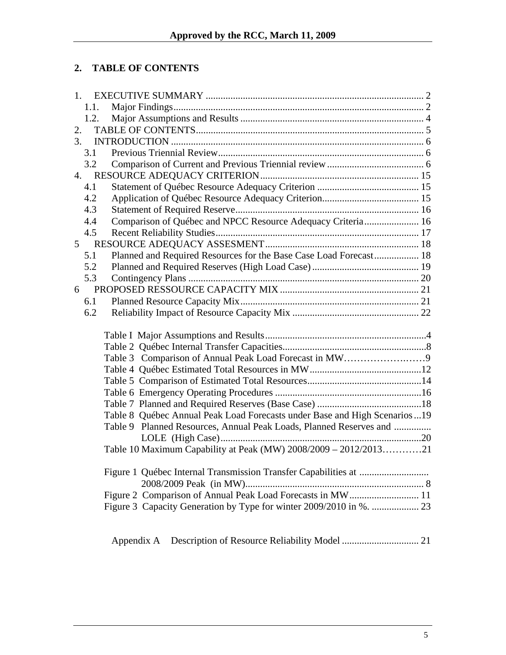# <span id="page-5-0"></span>**2. TABLE OF CONTENTS**

|    | 1.             |                                                                           |
|----|----------------|---------------------------------------------------------------------------|
|    | 1.1.           |                                                                           |
|    | 1.2.           |                                                                           |
| 2. |                |                                                                           |
|    | 3.             |                                                                           |
|    | 3.1            |                                                                           |
|    | 3.2            |                                                                           |
|    |                |                                                                           |
|    | 4.1            |                                                                           |
|    | 4.2            |                                                                           |
|    | 4.3            |                                                                           |
|    | 4.4            | Comparison of Québec and NPCC Resource Adequacy Criteria 16               |
|    | 4.5            |                                                                           |
|    | 5 <sup>5</sup> |                                                                           |
|    | 5.1            | Planned and Required Resources for the Base Case Load Forecast 18         |
|    | 5.2            |                                                                           |
|    | 5.3            |                                                                           |
|    | 6              |                                                                           |
|    | 6.1            |                                                                           |
|    | 6.2            |                                                                           |
|    |                |                                                                           |
|    |                |                                                                           |
|    |                |                                                                           |
|    |                |                                                                           |
|    |                |                                                                           |
|    |                |                                                                           |
|    |                |                                                                           |
|    |                |                                                                           |
|    |                | Table 8 Québec Annual Peak Load Forecasts under Base and High Scenarios19 |
|    |                | Table 9 Planned Resources, Annual Peak Loads, Planned Reserves and        |
|    |                |                                                                           |
|    |                | Table 10 Maximum Capability at Peak (MW) 2008/2009 - 2012/201321          |
|    |                |                                                                           |
|    |                |                                                                           |
|    |                | Figure 2 Comparison of Annual Peak Load Forecasts in MW 11                |
|    |                | Figure 3 Capacity Generation by Type for winter 2009/2010 in %.  23       |
|    |                |                                                                           |
|    |                |                                                                           |
|    |                | Appendix A                                                                |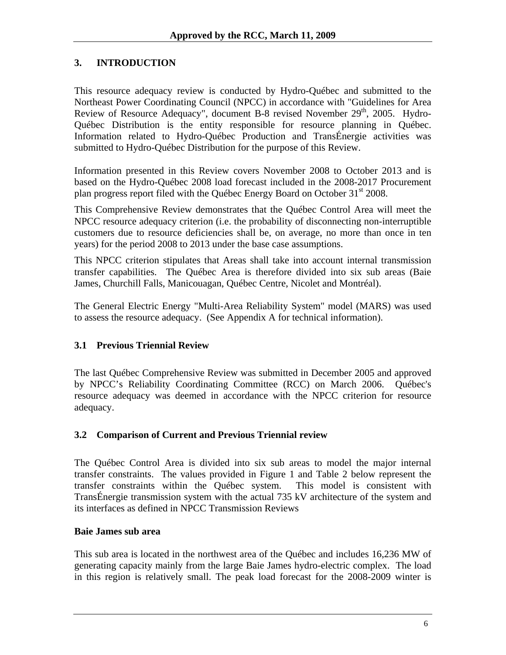# <span id="page-6-0"></span>**3. INTRODUCTION**

This resource adequacy review is conducted by Hydro-Québec and submitted to the Northeast Power Coordinating Council (NPCC) in accordance with "Guidelines for Area Review of Resource Adequacy", document B-8 revised November 29<sup>th</sup>, 2005. Hydro-Québec Distribution is the entity responsible for resource planning in Québec. Information related to Hydro-Québec Production and TransÉnergie activities was submitted to Hydro-Québec Distribution for the purpose of this Review.

Information presented in this Review covers November 2008 to October 2013 and is based on the Hydro-Québec 2008 load forecast included in the 2008-2017 Procurement plan progress report filed with the Québec Energy Board on October 31<sup>st</sup> 2008.

This Comprehensive Review demonstrates that the Québec Control Area will meet the NPCC resource adequacy criterion (i.e. the probability of disconnecting non-interruptible customers due to resource deficiencies shall be, on average, no more than once in ten years) for the period 2008 to 2013 under the base case assumptions.

This NPCC criterion stipulates that Areas shall take into account internal transmission transfer capabilities. The Québec Area is therefore divided into six sub areas (Baie James, Churchill Falls, Manicouagan, Québec Centre, Nicolet and Montréal).

The General Electric Energy "Multi-Area Reliability System" model (MARS) was used to assess the resource adequacy. (See Appendix A for technical information).

#### **3.1 Previous Triennial Review**

The last Québec Comprehensive Review was submitted in December 2005 and approved by NPCC's Reliability Coordinating Committee (RCC) on March 2006. Québec's resource adequacy was deemed in accordance with the NPCC criterion for resource adequacy.

#### **3.2 Comparison of Current and Previous Triennial review**

The Québec Control Area is divided into six sub areas to model the major internal transfer constraints. The values provided in Figure 1 and Table 2 below represent the transfer constraints within the Québec system. This model is consistent with TransÉnergie transmission system with the actual 735 kV architecture of the system and its interfaces as defined in NPCC Transmission Reviews

#### **Baie James sub area**

This sub area is located in the northwest area of the Québec and includes 16,236 MW of generating capacity mainly from the large Baie James hydro-electric complex. The load in this region is relatively small. The peak load forecast for the 2008-2009 winter is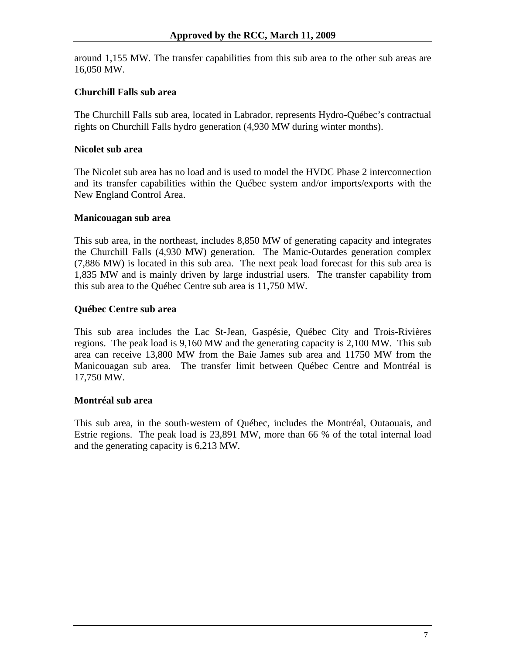around 1,155 MW. The transfer capabilities from this sub area to the other sub areas are 16,050 MW.

#### **Churchill Falls sub area**

The Churchill Falls sub area, located in Labrador, represents Hydro-Québec's contractual rights on Churchill Falls hydro generation (4,930 MW during winter months).

#### **Nicolet sub area**

The Nicolet sub area has no load and is used to model the HVDC Phase 2 interconnection and its transfer capabilities within the Québec system and/or imports/exports with the New England Control Area.

#### **Manicouagan sub area**

This sub area, in the northeast, includes 8,850 MW of generating capacity and integrates the Churchill Falls (4,930 MW) generation. The Manic-Outardes generation complex (7,886 MW) is located in this sub area. The next peak load forecast for this sub area is 1,835 MW and is mainly driven by large industrial users. The transfer capability from this sub area to the Québec Centre sub area is 11,750 MW.

#### **Québec Centre sub area**

This sub area includes the Lac St-Jean, Gaspésie, Québec City and Trois-Rivières regions. The peak load is 9,160 MW and the generating capacity is 2,100 MW. This sub area can receive 13,800 MW from the Baie James sub area and 11750 MW from the Manicouagan sub area. The transfer limit between Québec Centre and Montréal is 17,750 MW.

#### **Montréal sub area**

This sub area, in the south-western of Québec, includes the Montréal, Outaouais, and Estrie regions. The peak load is 23,891 MW, more than 66 % of the total internal load and the generating capacity is 6,213 MW.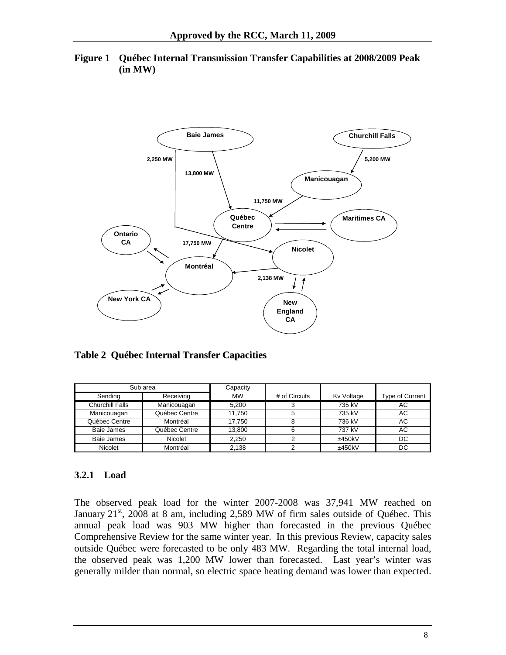<span id="page-8-0"></span>



**Table 2 Québec Internal Transfer Capacities**

|                 | Sub area       | Capacity  |               |            |                 |
|-----------------|----------------|-----------|---------------|------------|-----------------|
| Sending         | Receiving      | <b>MW</b> | # of Circuits | Kv Voltage | Type of Current |
| Churchill Falls | Manicouagan    | 5.200     |               | 735 kV     | АC              |
| Manicouagan     | Québec Centre  | 11.750    |               | 735 kV     | АC              |
| Québec Centre   | Montréal       | 17.750    |               | 736 kV     | АC              |
| Baie James      | Québec Centre  | 13.800    |               | 737 kV     | АC              |
| Baie James      | <b>Nicolet</b> | 2.250     |               | ±450kV     | DC              |
| Nicolet         | Montréal       | 2.138     |               | ±450kV     | DC              |

#### **3.2.1 Load**

The observed peak load for the winter 2007-2008 was 37,941 MW reached on January  $21<sup>st</sup>$ , 2008 at 8 am, including 2,589 MW of firm sales outside of Québec. This annual peak load was 903 MW higher than forecasted in the previous Québec Comprehensive Review for the same winter year. In this previous Review, capacity sales outside Québec were forecasted to be only 483 MW. Regarding the total internal load, the observed peak was 1,200 MW lower than forecasted. Last year's winter was generally milder than normal, so electric space heating demand was lower than expected.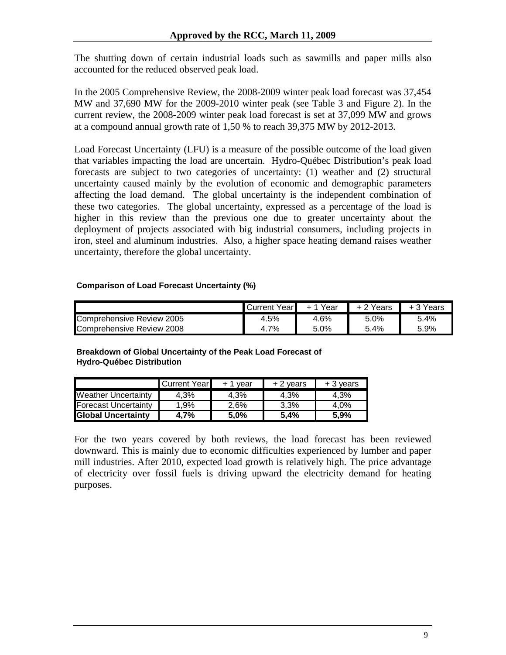The shutting down of certain industrial loads such as sawmills and paper mills also accounted for the reduced observed peak load.

In the 2005 Comprehensive Review, the 2008-2009 winter peak load forecast was 37,454 MW and 37,690 MW for the 2009-2010 winter peak (see Table 3 and Figure 2). In the current review, the 2008-2009 winter peak load forecast is set at 37,099 MW and grows at a compound annual growth rate of 1,50 % to reach 39,375 MW by 2012-2013.

Load Forecast Uncertainty (LFU) is a measure of the possible outcome of the load given that variables impacting the load are uncertain. Hydro-Québec Distribution's peak load forecasts are subject to two categories of uncertainty: (1) weather and (2) structural uncertainty caused mainly by the evolution of economic and demographic parameters affecting the load demand. The global uncertainty is the independent combination of these two categories. The global uncertainty, expressed as a percentage of the load is higher in this review than the previous one due to greater uncertainty about the deployment of projects associated with big industrial consumers, including projects in iron, steel and aluminum industries. Also, a higher space heating demand raises weather uncertainty, therefore the global uncertainty.

#### **Comparison of Load Forecast Uncertainty (%)**

|                           | Year∎<br>.Current | Year | Years | Years |
|---------------------------|-------------------|------|-------|-------|
| Comprehensive Review 2005 | 4.5%              | 4.6% | 5.0%  | 5.4%  |
| Comprehensive Review 2008 | 4.7%              | 5.0% | 5.4%  | 5.9%  |

#### **Breakdown of Global Uncertainty of the Peak Load Forecast of Hydro-Québec Distribution**

|                             | Current Year | vear | + 2 vears | + 3 vears |
|-----------------------------|--------------|------|-----------|-----------|
| <b>Weather Uncertainty</b>  | 4.3%         | 4.3% | 4.3%      | 4.3%      |
| <b>Forecast Uncertainty</b> | 1.9%         | 2.6% | $3.3\%$   | $4.0\%$   |
| <b>Global Uncertainty</b>   | 4.7%         | 5.0% | 5.4%      | 5.9%      |

For the two years covered by both reviews, the load forecast has been reviewed downward. This is mainly due to economic difficulties experienced by lumber and paper mill industries. After 2010, expected load growth is relatively high. The price advantage of electricity over fossil fuels is driving upward the electricity demand for heating purposes.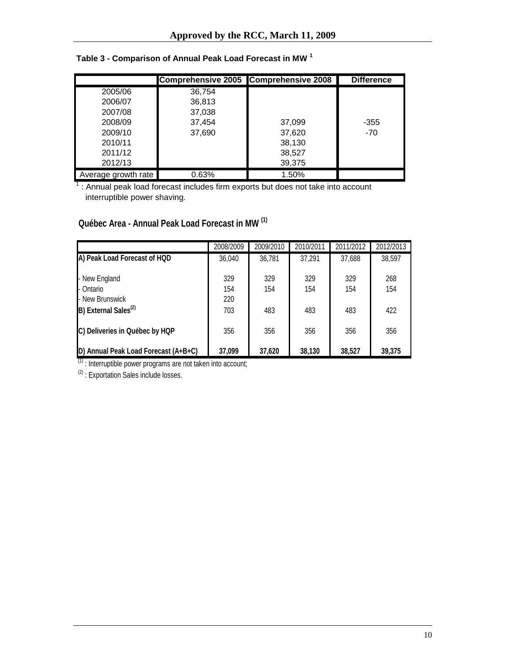|                     | Comprehensive 2005 Comprehensive 2008 |        | <b>Difference</b> |
|---------------------|---------------------------------------|--------|-------------------|
| 2005/06             | 36,754                                |        |                   |
| 2006/07             | 36,813                                |        |                   |
| 2007/08             | 37,038                                |        |                   |
| 2008/09             | 37,454                                | 37,099 | $-355$            |
| 2009/10             | 37,690                                | 37,620 | $-70$             |
| 2010/11             |                                       | 38,130 |                   |
| 2011/12             |                                       | 38,527 |                   |
| 2012/13             |                                       | 39,375 |                   |
| Average growth rate | 0.63%                                 | 1.50%  |                   |

# **Table 3 - Comparison of Annual Peak Load Forecast in MW 1**

 $1$ : Annual peak load forecast includes firm exports but does not take into account interruptible power shaving.

# **Québec Area - Annual Peak Load Forecast in MW (1)**

|                                      | 2008/2009  | 2009/2010 | 2010/2011 | 2011/2012 | 2012/2013 |
|--------------------------------------|------------|-----------|-----------|-----------|-----------|
| A) Peak Load Forecast of HQD         | 36,040     | 36,781    | 37,291    | 37,688    | 38,597    |
| - New England                        | 329        | 329       | 329       | 329       | 268       |
| - Ontario<br>- New Brunswick         | 154<br>220 | 154       | 154       | 154       | 154       |
| B) External Sales <sup>(2)</sup>     | 703        | 483       | 483       | 483       | 422       |
| C) Deliveries in Québec by HQP       | 356        | 356       | 356       | 356       | 356       |
| D) Annual Peak Load Forecast (A+B+C) | 37,099     | 37,620    | 38,130    | 38,527    | 39,375    |

 $(1)$  : Interruptible power programs are not taken into account;

 $(2)$  : Exportation Sales include losses.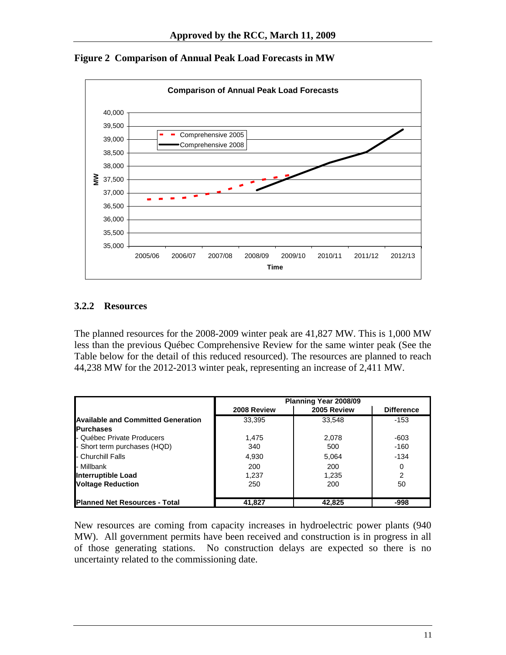

<span id="page-11-0"></span>**Figure 2 Comparison of Annual Peak Load Forecasts in MW** 

#### **3.2.2 Resources**

The planned resources for the 2008-2009 winter peak are 41,827 MW. This is 1,000 MW less than the previous Québec Comprehensive Review for the same winter peak (See the Table below for the detail of this reduced resourced). The resources are planned to reach 44,238 MW for the 2012-2013 winter peak, representing an increase of 2,411 MW.

|                                           | Planning Year 2008/09 |             |                   |  |
|-------------------------------------------|-----------------------|-------------|-------------------|--|
|                                           | 2008 Review           | 2005 Review | <b>Difference</b> |  |
| <b>Available and Committed Generation</b> | 33,395                | 33,548      | $-153$            |  |
| <b>Purchases</b>                          |                       |             |                   |  |
| - Québec Private Producers                | 1.475                 | 2,078       | -603              |  |
| - Short term purchases (HQD)              | 340                   | 500         | $-160$            |  |
| <b>- Churchill Falls</b>                  | 4,930                 | 5,064       | $-134$            |  |
| I- Millbank                               | 200                   | 200         | 0                 |  |
| <b>Interruptible Load</b>                 | 1,237                 | 1,235       | 2                 |  |
| <b>Voltage Reduction</b>                  | 250                   | 200         | 50                |  |
| <b>Planned Net Resources - Total</b>      | 41.827                | 42.825      | -998              |  |

New resources are coming from capacity increases in hydroelectric power plants (940 MW). All government permits have been received and construction is in progress in all of those generating stations. No construction delays are expected so there is no uncertainty related to the commissioning date.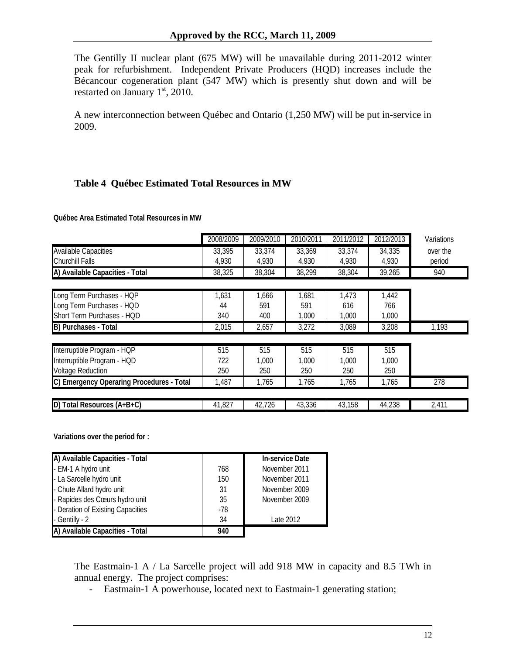<span id="page-12-0"></span>The Gentilly II nuclear plant (675 MW) will be unavailable during 2011-2012 winter peak for refurbishment. Independent Private Producers (HQD) increases include the Bécancour cogeneration plant (547 MW) which is presently shut down and will be restarted on January  $1<sup>st</sup>$ , 2010.

A new interconnection between Québec and Ontario (1,250 MW) will be put in-service in 2009.

## **Table 4 Québec Estimated Total Resources in MW**

|                                           | 2008/2009 | 2009/2010 | 2010/2011 | 2011/2012 | 2012/2013 | Variations |
|-------------------------------------------|-----------|-----------|-----------|-----------|-----------|------------|
| <b>Available Capacities</b>               | 33,395    | 33,374    | 33,369    | 33,374    | 34,335    | over the   |
| <b>Churchill Falls</b>                    | 4,930     | 4,930     | 4,930     | 4,930     | 4,930     | period     |
| A) Available Capacities - Total           | 38,325    | 38,304    | 38,299    | 38,304    | 39,265    | 940        |
|                                           |           |           |           |           |           |            |
| Long Term Purchases - HQP                 | 1,631     | 1,666     | 1,681     | 1,473     | 1,442     |            |
| Long Term Purchases - HQD                 | 44        | 591       | 591       | 616       | 766       |            |
| Short Term Purchases - HQD                | 340       | 400       | 1,000     | 1,000     | 1,000     |            |
| B) Purchases - Total                      | 2,015     | 2,657     | 3,272     | 3,089     | 3,208     | 1,193      |
| Interruptible Program - HQP               | 515       | 515       | 515       | 515       | 515       |            |
| Interruptible Program - HQD               | 722       | 1,000     | 1,000     | 1,000     | 1,000     |            |
| <b>Voltage Reduction</b>                  | 250       | 250       | 250       | 250       | 250       |            |
| C) Emergency Operaring Procedures - Total | 1,487     | 1,765     | 1,765     | 1,765     | 1,765     | 278        |
|                                           |           |           |           |           |           |            |
| D) Total Resources (A+B+C)                | 41,827    | 42,726    | 43,336    | 43,158    | 44,238    | 2,411      |

**Québec Area Estimated Total Resources in MW**

**Variations over the period for :**

| A) Available Capacities - Total   |       | <b>In-service Date</b> |
|-----------------------------------|-------|------------------------|
| - EM-1 A hydro unit               | 768   | November 2011          |
| - La Sarcelle hydro unit          | 150   | November 2011          |
| - Chute Allard hydro unit         | 31    | November 2009          |
| - Rapides des Cœurs hydro unit    | 35    | November 2009          |
| - Deration of Existing Capacities | $-78$ |                        |
| - Gentilly - 2                    | 34    | Late 2012              |
| A) Available Capacities - Total   | 940   |                        |

The Eastmain-1 A / La Sarcelle project will add 918 MW in capacity and 8.5 TWh in annual energy. The project comprises:

- Eastmain-1 A powerhouse, located next to Eastmain-1 generating station;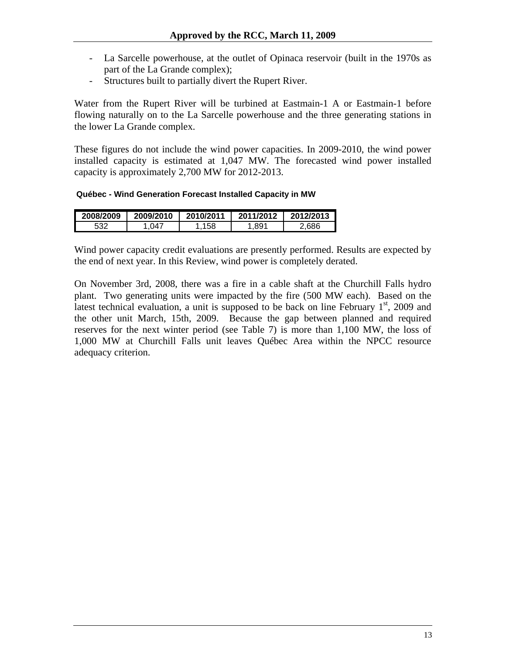- La Sarcelle powerhouse, at the outlet of Opinaca reservoir (built in the 1970s as part of the La Grande complex);
- Structures built to partially divert the Rupert River.

Water from the Rupert River will be turbined at Eastmain-1 A or Eastmain-1 before flowing naturally on to the La Sarcelle powerhouse and the three generating stations in the lower La Grande complex.

These figures do not include the wind power capacities. In 2009-2010, the wind power installed capacity is estimated at 1,047 MW. The forecasted wind power installed capacity is approximately 2,700 MW for 2012-2013.

**Québec - Wind Generation Forecast Installed Capacity in MW**

| 2008/2009 | 2009/2010 | 2010/2011 | 2011/2012 | 2012/2013 |
|-----------|-----------|-----------|-----------|-----------|
| につつ       | 047       |           | .891      | .686      |

Wind power capacity credit evaluations are presently performed. Results are expected by the end of next year. In this Review, wind power is completely derated.

On November 3rd, 2008, there was a fire in a cable shaft at the Churchill Falls hydro plant. Two generating units were impacted by the fire (500 MW each). Based on the latest technical evaluation, a unit is supposed to be back on line February  $1<sup>st</sup>$ , 2009 and the other unit March, 15th, 2009. Because the gap between planned and required reserves for the next winter period (see Table 7) is more than 1,100 MW, the loss of 1,000 MW at Churchill Falls unit leaves Québec Area within the NPCC resource adequacy criterion.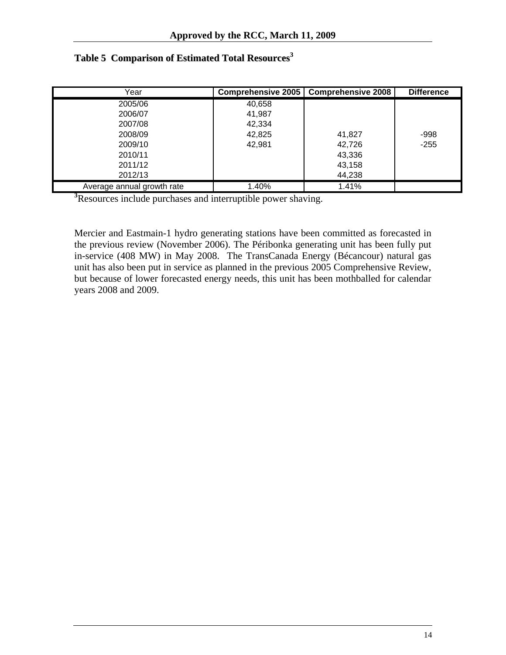| Year                       | Comprehensive 2005 | <b>Comprehensive 2008</b> | <b>Difference</b> |
|----------------------------|--------------------|---------------------------|-------------------|
| 2005/06                    | 40,658             |                           |                   |
| 2006/07                    | 41,987             |                           |                   |
| 2007/08                    | 42,334             |                           |                   |
| 2008/09                    | 42,825             | 41,827                    | -998              |
| 2009/10                    | 42,981             | 42,726                    | $-255$            |
| 2010/11                    |                    | 43,336                    |                   |
| 2011/12                    |                    | 43,158                    |                   |
| 2012/13                    |                    | 44,238                    |                   |
| Average annual growth rate | 1.40%              | 1.41%                     |                   |

# <span id="page-14-0"></span>**Table 5 Comparison of Estimated Total Resources 3**

**3** Resources include purchases and interruptible power shaving.

Mercier and Eastmain-1 hydro generating stations have been committed as forecasted in the previous review (November 2006). The Péribonka generating unit has been fully put in-service (408 MW) in May 2008. The TransCanada Energy (Bécancour) natural gas unit has also been put in service as planned in the previous 2005 Comprehensive Review, but because of lower forecasted energy needs, this unit has been mothballed for calendar years 2008 and 2009.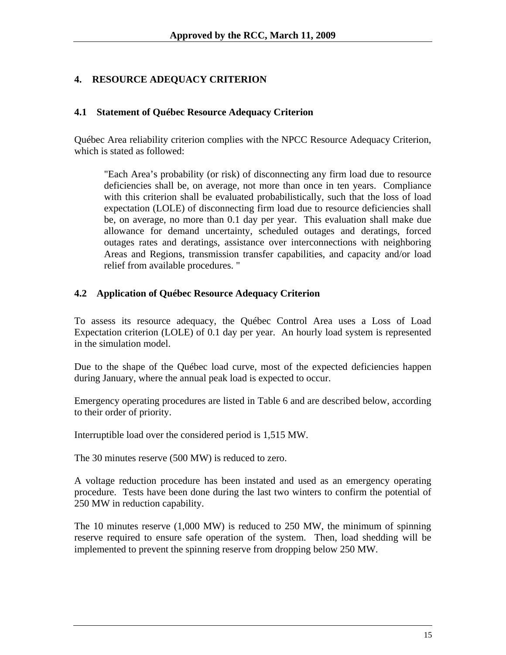## <span id="page-15-0"></span>**4. RESOURCE ADEQUACY CRITERION**

#### **4.1 Statement of Québec Resource Adequacy Criterion**

Québec Area reliability criterion complies with the NPCC Resource Adequacy Criterion, which is stated as followed:

"Each Area's probability (or risk) of disconnecting any firm load due to resource deficiencies shall be, on average, not more than once in ten years. Compliance with this criterion shall be evaluated probabilistically, such that the loss of load expectation (LOLE) of disconnecting firm load due to resource deficiencies shall be, on average, no more than 0.1 day per year. This evaluation shall make due allowance for demand uncertainty, scheduled outages and deratings, forced outages rates and deratings, assistance over interconnections with neighboring Areas and Regions, transmission transfer capabilities, and capacity and/or load relief from available procedures. "

#### **4.2 Application of Québec Resource Adequacy Criterion**

To assess its resource adequacy, the Québec Control Area uses a Loss of Load Expectation criterion (LOLE) of 0.1 day per year. An hourly load system is represented in the simulation model.

Due to the shape of the Québec load curve, most of the expected deficiencies happen during January, where the annual peak load is expected to occur.

Emergency operating procedures are listed in Table 6 and are described below, according to their order of priority.

Interruptible load over the considered period is 1,515 MW.

The 30 minutes reserve (500 MW) is reduced to zero.

A voltage reduction procedure has been instated and used as an emergency operating procedure. Tests have been done during the last two winters to confirm the potential of 250 MW in reduction capability.

The 10 minutes reserve (1,000 MW) is reduced to 250 MW, the minimum of spinning reserve required to ensure safe operation of the system. Then, load shedding will be implemented to prevent the spinning reserve from dropping below 250 MW.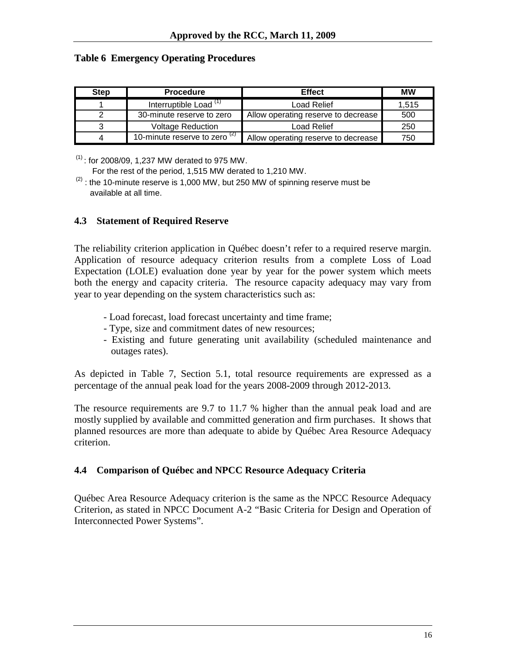#### <span id="page-16-0"></span>**Table 6 Emergency Operating Procedures**

| <b>Step</b> | <b>Procedure</b>                  | <b>Effect</b>                       | <b>MW</b> |
|-------------|-----------------------------------|-------------------------------------|-----------|
|             | Interruptible Load <sup>(1)</sup> | Load Relief                         | 1.515     |
|             | 30-minute reserve to zero         | Allow operating reserve to decrease | 500       |
|             | <b>Voltage Reduction</b>          | Load Relief                         | 250       |
|             | 10-minute reserve to zero $(2)$   | Allow operating reserve to decrease | 750       |

 $(1)$ : for 2008/09, 1,237 MW derated to 975 MW. For the rest of the period, 1,515 MW derated to 1,210 MW.

 $(2)$ : the 10-minute reserve is 1,000 MW, but 250 MW of spinning reserve must be available at all time.

#### **4.3 Statement of Required Reserve**

The reliability criterion application in Québec doesn't refer to a required reserve margin. Application of resource adequacy criterion results from a complete Loss of Load Expectation (LOLE) evaluation done year by year for the power system which meets both the energy and capacity criteria. The resource capacity adequacy may vary from year to year depending on the system characteristics such as:

- Load forecast, load forecast uncertainty and time frame;
- Type, size and commitment dates of new resources;
- Existing and future generating unit availability (scheduled maintenance and outages rates).

As depicted in Table 7, Section 5.1, total resource requirements are expressed as a percentage of the annual peak load for the years 2008-2009 through 2012-2013.

The resource requirements are 9.7 to 11.7 % higher than the annual peak load and are mostly supplied by available and committed generation and firm purchases. It shows that planned resources are more than adequate to abide by Québec Area Resource Adequacy criterion.

#### **4.4 Comparison of Québec and NPCC Resource Adequacy Criteria**

Québec Area Resource Adequacy criterion is the same as the NPCC Resource Adequacy Criterion, as stated in NPCC Document A-2 "Basic Criteria for Design and Operation of Interconnected Power Systems".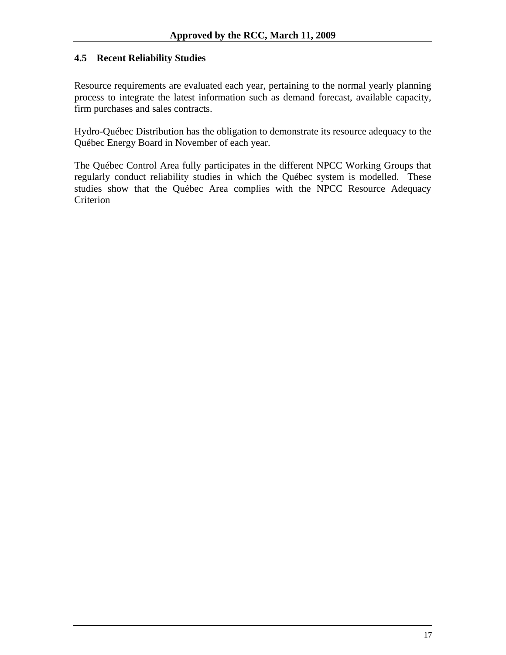#### <span id="page-17-0"></span>**4.5 Recent Reliability Studies**

Resource requirements are evaluated each year, pertaining to the normal yearly planning process to integrate the latest information such as demand forecast, available capacity, firm purchases and sales contracts.

Hydro-Québec Distribution has the obligation to demonstrate its resource adequacy to the Québec Energy Board in November of each year.

The Québec Control Area fully participates in the different NPCC Working Groups that regularly conduct reliability studies in which the Québec system is modelled. These studies show that the Québec Area complies with the NPCC Resource Adequacy Criterion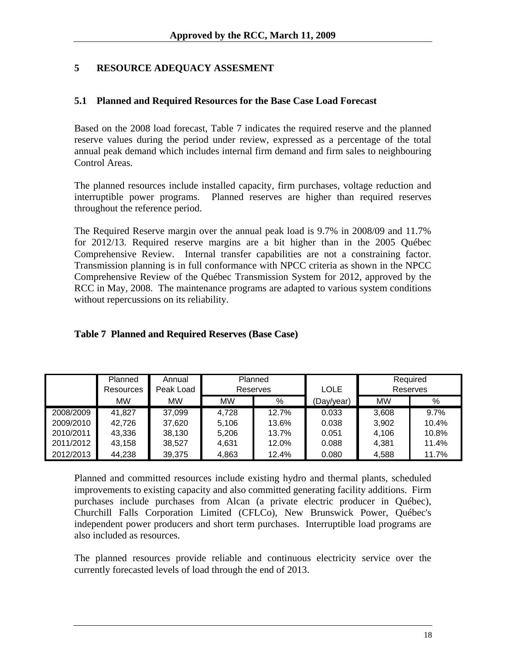## <span id="page-18-0"></span>**5 RESOURCE ADEQUACY ASSESMENT**

#### **5.1 Planned and Required Resources for the Base Case Load Forecast**

Based on the 2008 load forecast, Table 7 indicates the required reserve and the planned reserve values during the period under review, expressed as a percentage of the total annual peak demand which includes internal firm demand and firm sales to neighbouring Control Areas.

The planned resources include installed capacity, firm purchases, voltage reduction and interruptible power programs. Planned reserves are higher than required reserves throughout the reference period.

The Required Reserve margin over the annual peak load is 9.7% in 2008/09 and 11.7% for 2012/13. Required reserve margins are a bit higher than in the 2005 Québec Comprehensive Review. Internal transfer capabilities are not a constraining factor. Transmission planning is in full conformance with NPCC criteria as shown in the NPCC Comprehensive Review of the Québec Transmission System for 2012, approved by the RCC in May, 2008. The maintenance programs are adapted to various system conditions without repercussions on its reliability.

|  | Table 7 Planned and Required Reserves (Base Case) |  |  |
|--|---------------------------------------------------|--|--|
|  |                                                   |  |  |

|           | Planned   | Annual    | Planned   |       |             |           | Required |
|-----------|-----------|-----------|-----------|-------|-------------|-----------|----------|
|           | Resources | Peak Load | Reserves  |       | <b>LOLE</b> |           | Reserves |
|           | <b>MW</b> | MW        | <b>MW</b> | %     | (Day/year)  | <b>MW</b> | %        |
| 2008/2009 | 41,827    | 37,099    | 4,728     | 12.7% | 0.033       | 3,608     | $9.7\%$  |
| 2009/2010 | 42,726    | 37,620    | 5,106     | 13.6% | 0.038       | 3,902     | 10.4%    |
| 2010/2011 | 43,336    | 38,130    | 5,206     | 13.7% | 0.051       | 4,106     | 10.8%    |
| 2011/2012 | 43,158    | 38,527    | 4,631     | 12.0% | 0.088       | 4.381     | 11.4%    |
| 2012/2013 | 44,238    | 39,375    | 4,863     | 12.4% | 0.080       | 4,588     | 11.7%    |

Planned and committed resources include existing hydro and thermal plants, scheduled improvements to existing capacity and also committed generating facility additions. Firm purchases include purchases from Alcan (a private electric producer in Québec), Churchill Falls Corporation Limited (CFLCo), New Brunswick Power, Québec's independent power producers and short term purchases. Interruptible load programs are also included as resources.

The planned resources provide reliable and continuous electricity service over the currently forecasted levels of load through the end of 2013.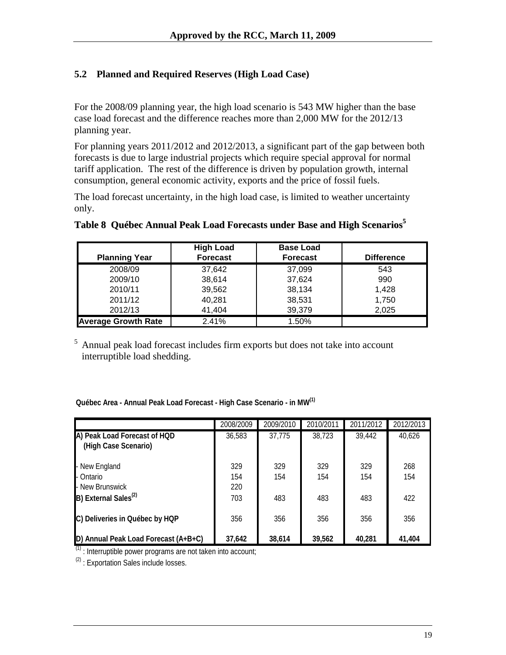# <span id="page-19-0"></span>**5.2 Planned and Required Reserves (High Load Case)**

For the 2008/09 planning year, the high load scenario is 543 MW higher than the base case load forecast and the difference reaches more than 2,000 MW for the 2012/13 planning year.

For planning years 2011/2012 and 2012/2013, a significant part of the gap between both forecasts is due to large industrial projects which require special approval for normal tariff application. The rest of the difference is driven by population growth, internal consumption, general economic activity, exports and the price of fossil fuels.

The load forecast uncertainty, in the high load case, is limited to weather uncertainty only.

| <b>Planning Year</b>       | <b>High Load</b><br><b>Forecast</b> | <b>Base Load</b><br><b>Forecast</b> | <b>Difference</b> |
|----------------------------|-------------------------------------|-------------------------------------|-------------------|
| 2008/09                    | 37.642                              | 37,099                              | 543               |
| 2009/10                    | 38,614                              | 37.624                              | 990               |
| 2010/11                    | 39,562                              | 38,134                              | 1,428             |
| 2011/12                    | 40.281                              | 38,531                              | 1,750             |
| 2012/13                    | 41.404                              | 39,379                              | 2,025             |
| <b>Average Growth Rate</b> | 2.41%                               | 1.50%                               |                   |

## **Table 8 Québec Annual Peak Load Forecasts under Base and High Scenarios 5**

5 Annual peak load forecast includes firm exports but does not take into account interruptible load shedding.

|                                                      | 2008/2009         | 2009/2010  | 2010/2011  | 2011/2012  | 2012/2013  |
|------------------------------------------------------|-------------------|------------|------------|------------|------------|
| A) Peak Load Forecast of HQD<br>(High Case Scenario) | 36,583            | 37,775     | 38,723     | 39,442     | 40,626     |
| - New England<br>- Ontario<br>- New Brunswick        | 329<br>154<br>220 | 329<br>154 | 329<br>154 | 329<br>154 | 268<br>154 |
| B) External Sales <sup>(2)</sup>                     | 703               | 483        | 483        | 483        | 422        |
| C) Deliveries in Québec by HQP                       | 356               | 356        | 356        | 356        | 356        |
| D) Annual Peak Load Forecast (A+B+C)                 | 37,642            | 38,614     | 39,562     | 40.281     | 41.404     |

**Québec Area - Annual Peak Load Forecast - High Case Scenario - in MW(1)**

 $(1)$  : Interruptible power programs are not taken into account;

 $(2)$ : Exportation Sales include losses.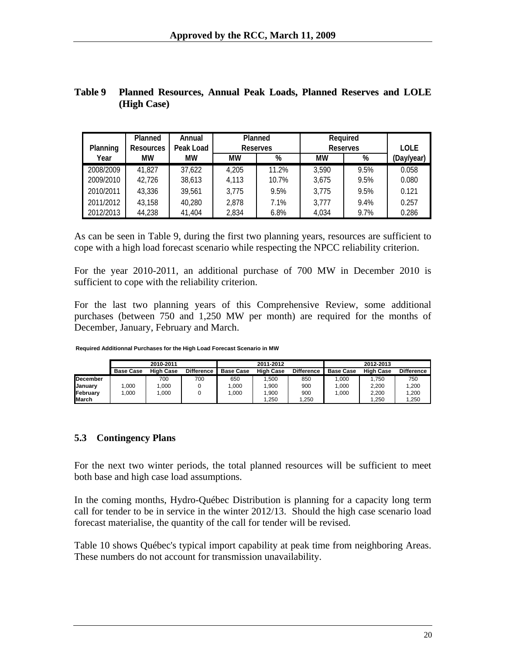<span id="page-20-0"></span>

| Table 9 Planned Resources, Annual Peak Loads, Planned Reserves and LOLE |  |  |  |  |
|-------------------------------------------------------------------------|--|--|--|--|
| (High Case)                                                             |  |  |  |  |

|                 | <b>Planned</b>   | Annual    |       | <b>Planned</b>  |       | <b>Required</b> |             |
|-----------------|------------------|-----------|-------|-----------------|-------|-----------------|-------------|
| <b>Planning</b> | <b>Resources</b> | Peak Load |       | <b>Reserves</b> |       | <b>Reserves</b> | <b>LOLE</b> |
| Year            | МW               | МW        | МW    | %               | МW    | %               | (Day/year)  |
| 2008/2009       | 41.827           | 37,622    | 4,205 | 11.2%           | 3,590 | 9.5%            | 0.058       |
| 2009/2010       | 42,726           | 38,613    | 4.113 | 10.7%           | 3.675 | 9.5%            | 0.080       |
| 2010/2011       | 43,336           | 39.561    | 3,775 | 9.5%            | 3.775 | 9.5%            | 0.121       |
| 2011/2012       | 43,158           | 40,280    | 2,878 | 7.1%            | 3.777 | 9.4%            | 0.257       |
| 2012/2013       | 44,238           | 41,404    | 2,834 | 6.8%            | 4.034 | 9.7%            | 0.286       |

As can be seen in Table 9, during the first two planning years, resources are sufficient to cope with a high load forecast scenario while respecting the NPCC reliability criterion.

For the year 2010-2011, an additional purchase of 700 MW in December 2010 is sufficient to cope with the reliability criterion.

For the last two planning years of this Comprehensive Review, some additional purchases (between 750 and 1,250 MW per month) are required for the months of December, January, February and March.

**Required Additionnal Purchases for the High Load Forecast Scenario in MW**

|                  |                  | 2010-2011        |                   |                  | 2011-2012        |                   |                  | 2012-2013        |                   |
|------------------|------------------|------------------|-------------------|------------------|------------------|-------------------|------------------|------------------|-------------------|
|                  | <b>Base Case</b> | <b>High Case</b> | <b>Difference</b> | <b>Base Case</b> | <b>High Case</b> | <b>Difference</b> | <b>Base Case</b> | <b>High Case</b> | <b>Difference</b> |
| <b>December</b>  |                  | 700              | 700               | 650              | .500             | 850               | 000.1            | .750             | 750               |
| <b>IJanuarv</b>  | .000             | 1.000            |                   | .000             | .900             | 900               | 1.000            | 2.200            | 1.200             |
| <b>IFebruary</b> | .000             | 1.000            |                   | .000             | .900             | 900               | 1.000            | 2.200            | 1.200             |
| <b>March</b>     |                  |                  |                   |                  | .250             | 1.250             |                  | .250             | .250              |

#### **5.3 Contingency Plans**

For the next two winter periods, the total planned resources will be sufficient to meet both base and high case load assumptions.

In the coming months, Hydro-Québec Distribution is planning for a capacity long term call for tender to be in service in the winter 2012/13. Should the high case scenario load forecast materialise, the quantity of the call for tender will be revised.

Table 10 shows Québec's typical import capability at peak time from neighboring Areas. These numbers do not account for transmission unavailability.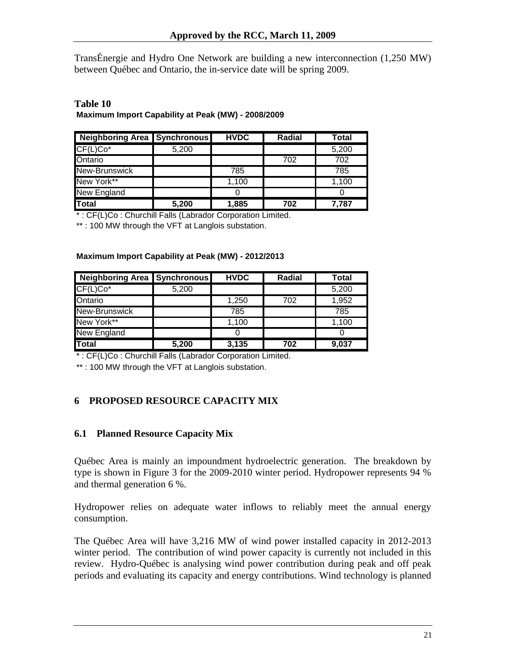<span id="page-21-0"></span>TransÉnergie and Hydro One Network are building a new interconnection (1,250 MW) between Québec and Ontario, the in-service date will be spring 2009.

#### **Table 10 Maximum Import Capability at Peak (MW) - 2008/2009**

| Neighboring Area Synchronous |       | <b>HVDC</b> | Radial | Total |
|------------------------------|-------|-------------|--------|-------|
| $CF(L)Co*$                   | 5,200 |             |        | 5,200 |
| Ontario                      |       |             | 702    | 702   |
| New-Brunswick                |       | 785         |        | 785   |
| New York**                   |       | 1,100       |        | 1,100 |
| New England                  |       |             |        |       |
| <b>Total</b>                 | 5,200 | 1,885       | 702    | 7.787 |

\* : CF(L)Co : Churchill Falls (Labrador Corporation Limited.

\*\* : 100 MW through the VFT at Langlois substation.

#### **Maximum Import Capability at Peak (MW) - 2012/2013**

| <b>Neighboring Area   Synchronous</b> |       | <b>HVDC</b> | Radial | Total |
|---------------------------------------|-------|-------------|--------|-------|
| $CF(L)Co*$                            | 5,200 |             |        | 5,200 |
| Ontario                               |       | 1,250       | 702    | 1,952 |
| New-Brunswick                         |       | 785         |        | 785   |
| New York**                            |       | 1,100       |        | 1,100 |
| <b>New England</b>                    |       |             |        |       |
| <b>Total</b>                          | 5,200 | 3,135       | 702    | 9,037 |

\* : CF(L)Co : Churchill Falls (Labrador Corporation Limited.

\*\* : 100 MW through the VFT at Langlois substation.

## **6 PROPOSED RESOURCE CAPACITY MIX**

#### **6.1 Planned Resource Capacity Mix**

Québec Area is mainly an impoundment hydroelectric generation. The breakdown by type is shown in Figure 3 for the 2009-2010 winter period. Hydropower represents 94 % and thermal generation 6 %.

Hydropower relies on adequate water inflows to reliably meet the annual energy consumption.

The Québec Area will have 3,216 MW of wind power installed capacity in 2012-2013 winter period. The contribution of wind power capacity is currently not included in this review. Hydro-Québec is analysing wind power contribution during peak and off peak periods and evaluating its capacity and energy contributions. Wind technology is planned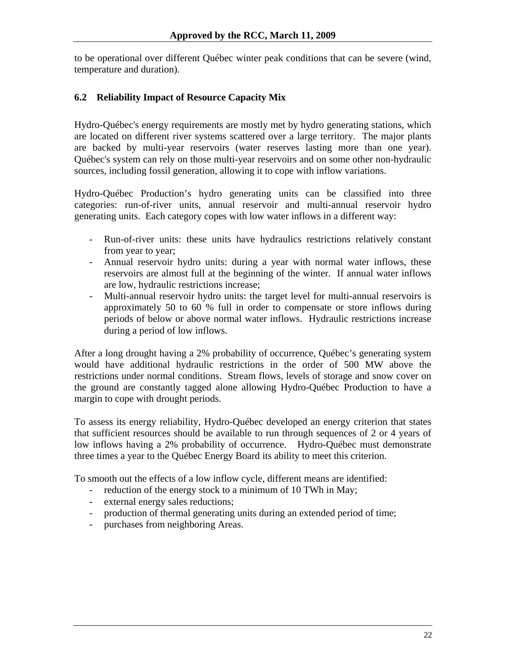<span id="page-22-0"></span>to be operational over different Québec winter peak conditions that can be severe (wind, temperature and duration).

## **6.2 Reliability Impact of Resource Capacity Mix**

Hydro-Québec's energy requirements are mostly met by hydro generating stations, which are located on different river systems scattered over a large territory. The major plants are backed by multi-year reservoirs (water reserves lasting more than one year). Québec's system can rely on those multi-year reservoirs and on some other non-hydraulic sources, including fossil generation, allowing it to cope with inflow variations.

Hydro-Québec Production's hydro generating units can be classified into three categories: run-of-river units, annual reservoir and multi-annual reservoir hydro generating units. Each category copes with low water inflows in a different way:

- Run-of-river units: these units have hydraulics restrictions relatively constant from year to year;
- Annual reservoir hydro units: during a year with normal water inflows, these reservoirs are almost full at the beginning of the winter. If annual water inflows are low, hydraulic restrictions increase;
- Multi-annual reservoir hydro units: the target level for multi-annual reservoirs is approximately 50 to 60 % full in order to compensate or store inflows during periods of below or above normal water inflows. Hydraulic restrictions increase during a period of low inflows.

After a long drought having a 2% probability of occurrence, Québec's generating system would have additional hydraulic restrictions in the order of 500 MW above the restrictions under normal conditions. Stream flows, levels of storage and snow cover on the ground are constantly tagged alone allowing Hydro-Québec Production to have a margin to cope with drought periods.

To assess its energy reliability, Hydro-Québec developed an energy criterion that states that sufficient resources should be available to run through sequences of 2 or 4 years of low inflows having a 2% probability of occurrence. Hydro-Québec must demonstrate three times a year to the Québec Energy Board its ability to meet this criterion.

To smooth out the effects of a low inflow cycle, different means are identified:

- reduction of the energy stock to a minimum of 10 TWh in May;
- external energy sales reductions;
- production of thermal generating units during an extended period of time;
- purchases from neighboring Areas.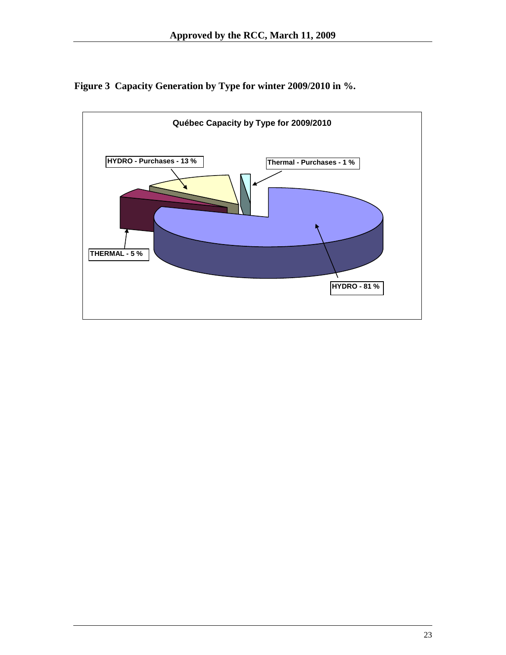<span id="page-23-0"></span>

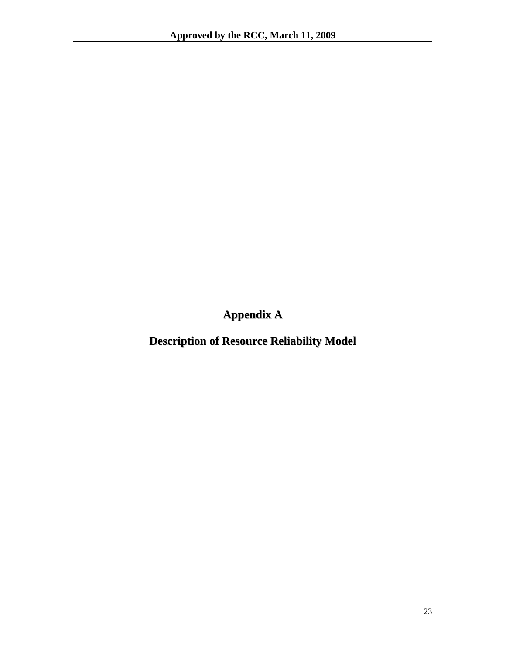**Appendix A**

<span id="page-24-0"></span>**Description of Resource Reliability Model**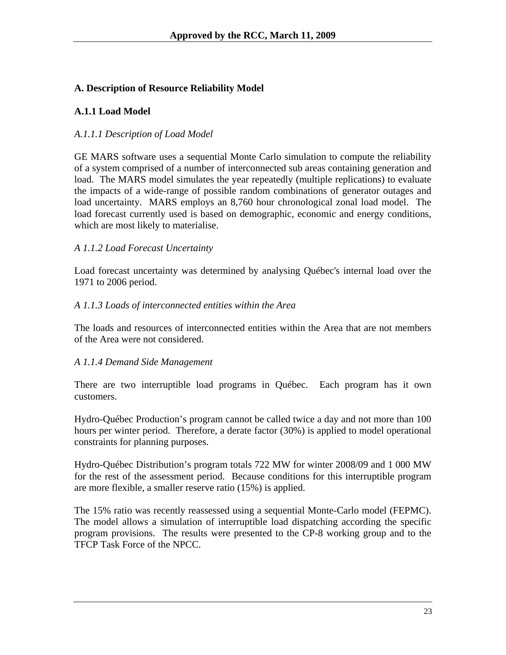## **A. Description of Resource Reliability Model**

## **A.1.1 Load Model**

#### *A.1.1.1 Description of Load Model*

GE MARS software uses a sequential Monte Carlo simulation to compute the reliability of a system comprised of a number of interconnected sub areas containing generation and load. The MARS model simulates the year repeatedly (multiple replications) to evaluate the impacts of a wide-range of possible random combinations of generator outages and load uncertainty. MARS employs an 8,760 hour chronological zonal load model. The load forecast currently used is based on demographic, economic and energy conditions, which are most likely to materialise.

#### *A 1.1.2 Load Forecast Uncertainty*

Load forecast uncertainty was determined by analysing Québec's internal load over the 1971 to 2006 period.

#### *A 1.1.3 Loads of interconnected entities within the Area*

The loads and resources of interconnected entities within the Area that are not members of the Area were not considered.

#### *A 1.1.4 Demand Side Management*

There are two interruptible load programs in Québec. Each program has it own customers.

Hydro-Québec Production's program cannot be called twice a day and not more than 100 hours per winter period. Therefore, a derate factor (30%) is applied to model operational constraints for planning purposes.

Hydro-Québec Distribution's program totals 722 MW for winter 2008/09 and 1 000 MW for the rest of the assessment period. Because conditions for this interruptible program are more flexible, a smaller reserve ratio (15%) is applied.

The 15% ratio was recently reassessed using a sequential Monte-Carlo model (FEPMC). The model allows a simulation of interruptible load dispatching according the specific program provisions. The results were presented to the CP-8 working group and to the TFCP Task Force of the NPCC.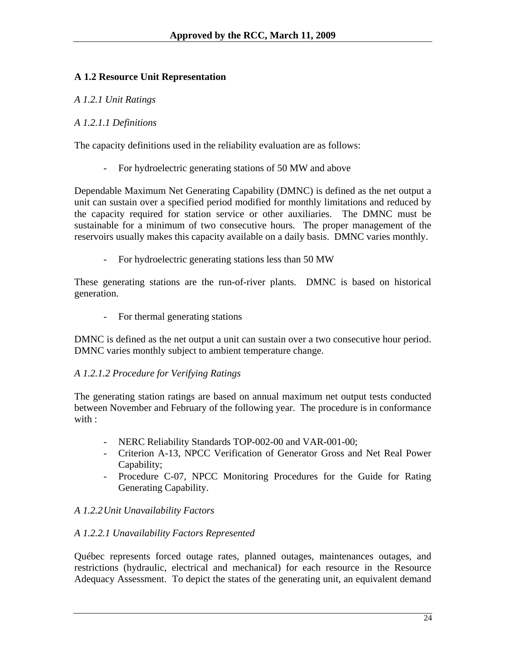## **A 1.2 Resource Unit Representation**

#### *A 1.2.1 Unit Ratings*

#### *A 1.2.1.1 Definitions*

The capacity definitions used in the reliability evaluation are as follows:

- For hydroelectric generating stations of 50 MW and above

Dependable Maximum Net Generating Capability (DMNC) is defined as the net output a unit can sustain over a specified period modified for monthly limitations and reduced by the capacity required for station service or other auxiliaries. The DMNC must be sustainable for a minimum of two consecutive hours. The proper management of the reservoirs usually makes this capacity available on a daily basis. DMNC varies monthly.

For hydroelectric generating stations less than 50 MW

These generating stations are the run-of-river plants. DMNC is based on historical generation.

- For thermal generating stations

DMNC is defined as the net output a unit can sustain over a two consecutive hour period. DMNC varies monthly subject to ambient temperature change.

#### *A 1.2.1.2 Procedure for Verifying Ratings*

The generating station ratings are based on annual maximum net output tests conducted between November and February of the following year. The procedure is in conformance with :

- NERC Reliability Standards TOP-002-00 and VAR-001-00;
- Criterion A-13, NPCC Verification of Generator Gross and Net Real Power Capability;
- Procedure C-07, NPCC Monitoring Procedures for the Guide for Rating Generating Capability.

#### *A 1.2.2 Unit Unavailability Factors*

#### *A 1.2.2.1 Unavailability Factors Represented*

Québec represents forced outage rates, planned outages, maintenances outages, and restrictions (hydraulic, electrical and mechanical) for each resource in the Resource Adequacy Assessment. To depict the states of the generating unit, an equivalent demand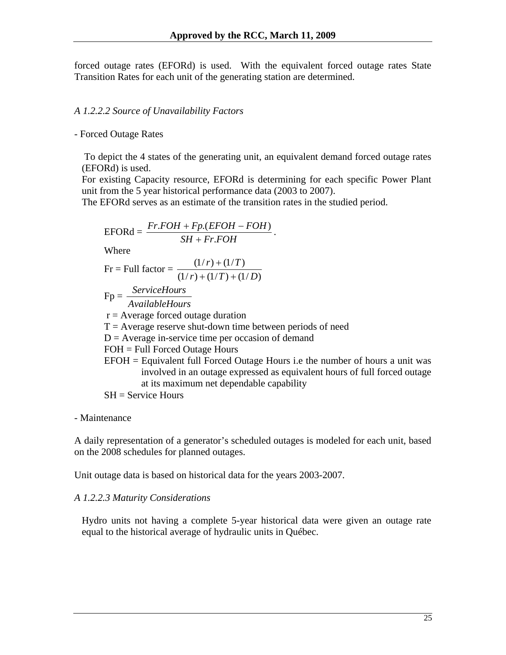forced outage rates (EFORd) is used. With the equivalent forced outage rates State Transition Rates for each unit of the generating station are determined.

#### *A 1.2.2.2 Source of Unavailability Factors*

- Forced Outage Rates

 To depict the 4 states of the generating unit, an equivalent demand forced outage rates (EFORd) is used.

For existing Capacity resource, EFORd is determining for each specific Power Plant unit from the 5 year historical performance data (2003 to 2007).

The EFORd serves as an estimate of the transition rates in the studied period.

$$
EFORd = \frac{Fr.FOH + Fp.(EFOH - FOH)}{SH + Fr.FOH}
$$
  
Where  
Fr = Full factor =  $\frac{(1/r) + (1/T)}{(1/r) + (1/T) + (1/D)}$   
Fp =  $\frac{ServiceHouse}{AvailableHouse}$   
r = Average forced outage duration  
T = Average reserve shut-down time between periods of need  
D = Average in-service time per occasion of demand  
FOH = Full Forced Outage Hours  
EFOH = Equivalent full Forced Outage Hours i.e the number of hours a unit was involved in an outage expressed as equivalent hours of full forced outage  
at its maximum net dependable capability  
SH = Service Hours

- Maintenance

A daily representation of a generator's scheduled outages is modeled for each unit, based on the 2008 schedules for planned outages.

Unit outage data is based on historical data for the years 2003-2007.

#### *A 1.2.2.3 Maturity Considerations*

Hydro units not having a complete 5-year historical data were given an outage rate equal to the historical average of hydraulic units in Québec.

a unit was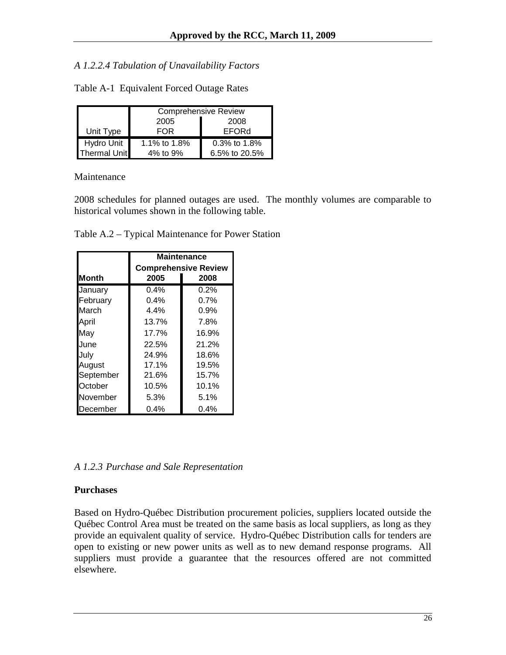#### *A 1.2.2.4 Tabulation of Unavailability Factors*

|                     | <b>Comprehensive Review</b> |                 |  |  |  |  |
|---------------------|-----------------------------|-----------------|--|--|--|--|
|                     | 2005<br>2008                |                 |  |  |  |  |
| Unit Type           | FOR                         | EFORd           |  |  |  |  |
| Hydro Unit          | 1.1% to 1.8%                | $0.3\%$ to 1.8% |  |  |  |  |
| <b>Thermal Unit</b> | 4% to 9%                    | 6.5% to 20.5%   |  |  |  |  |

Table A-1 Equivalent Forced Outage Rates

#### Maintenance

2008 schedules for planned outages are used. The monthly volumes are comparable to historical volumes shown in the following table.

|  | Table A.2 – Typical Maintenance for Power Station |  |
|--|---------------------------------------------------|--|
|  |                                                   |  |

|              | <b>Maintenance</b>          |         |  |  |  |
|--------------|-----------------------------|---------|--|--|--|
|              | <b>Comprehensive Review</b> |         |  |  |  |
| <b>Month</b> | 2005                        | 2008    |  |  |  |
| January      | $0.4\%$                     | 0.2%    |  |  |  |
| February     | $0.4\%$                     | 0.7%    |  |  |  |
| March        | 4.4%                        | $0.9\%$ |  |  |  |
| April        | 13.7%                       | 7.8%    |  |  |  |
| May          | 17.7%                       | 16.9%   |  |  |  |
| June         | 22.5%                       | 21.2%   |  |  |  |
| July         | 24.9%                       | 18.6%   |  |  |  |
| August       | 17.1%                       | 19.5%   |  |  |  |
| September    | 21.6%                       | 15.7%   |  |  |  |
| October      | 10.5%                       | 10.1%   |  |  |  |
| November     | 5.3%                        | 5.1%    |  |  |  |
| December     | 0.4%                        | $0.4\%$ |  |  |  |

*A 1.2.3 Purchase and Sale Representation* 

#### **Purchases**

Based on Hydro-Québec Distribution procurement policies, suppliers located outside the Québec Control Area must be treated on the same basis as local suppliers, as long as they provide an equivalent quality of service. Hydro-Québec Distribution calls for tenders are open to existing or new power units as well as to new demand response programs. All suppliers must provide a guarantee that the resources offered are not committed elsewhere.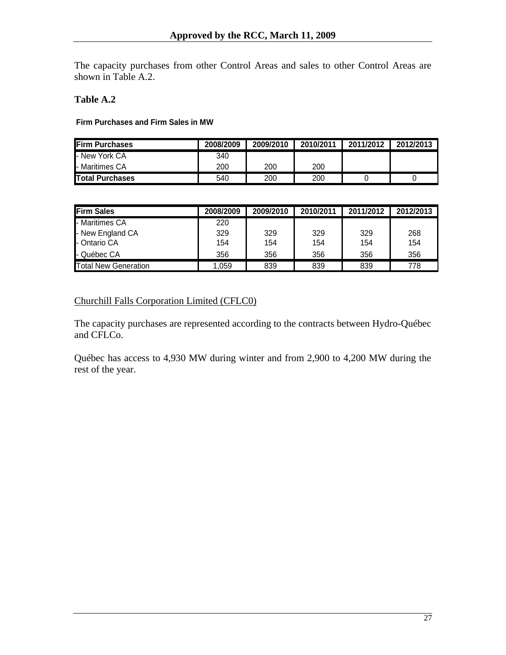The capacity purchases from other Control Areas and sales to other Control Areas are shown in Table A.2.

#### **Table A.2**

**Firm Purchases and Firm Sales in MW**

| <b>IFirm Purchases</b>  | 2008/2009 | 2009/2010 | 2010/2011 | 2011/2012 | 2012/2013 |
|-------------------------|-----------|-----------|-----------|-----------|-----------|
| - New York CA           | 340       |           |           |           |           |
| <b>I</b> - Maritimes CA | 200       | 200       | 200       |           |           |
| <b>Total Purchases</b>  | 540       | 200       | 200       |           |           |

| <b>Firm Sales</b>           | 2008/2009 | 2009/2010 | 2010/2011 | 2011/2012 | 2012/2013 |
|-----------------------------|-----------|-----------|-----------|-----------|-----------|
| - Maritimes CA              | 220       |           |           |           |           |
| - New England CA            | 329       | 329       | 329       | 329       | 268       |
| - Ontario CA                | 154       | 154       | 154       | 154       | 154       |
| - Québec CA                 | 356       | 356       | 356       | 356       | 356       |
| <b>Total New Generation</b> | 1.059     | 839       | 839       | 839       | 778       |

#### Churchill Falls Corporation Limited (CFLC0)

The capacity purchases are represented according to the contracts between Hydro-Québec and CFLCo.

Québec has access to 4,930 MW during winter and from 2,900 to 4,200 MW during the rest of the year.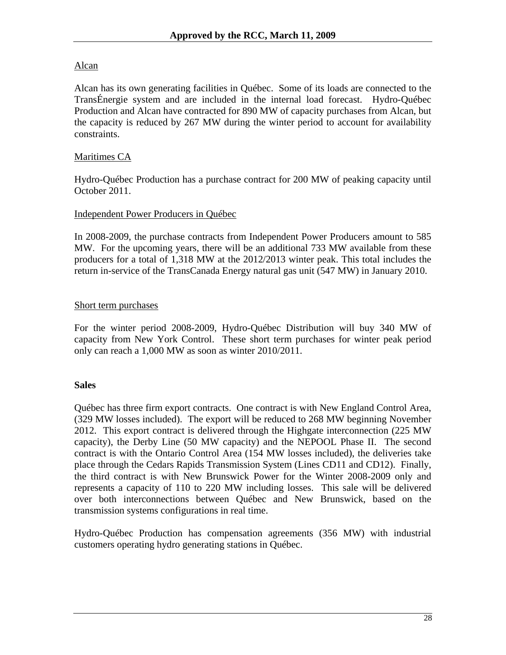## Alcan

Alcan has its own generating facilities in Québec. Some of its loads are connected to the TransÉnergie system and are included in the internal load forecast. Hydro-Québec Production and Alcan have contracted for 890 MW of capacity purchases from Alcan, but the capacity is reduced by 267 MW during the winter period to account for availability constraints.

## Maritimes CA

Hydro-Québec Production has a purchase contract for 200 MW of peaking capacity until October 2011.

#### Independent Power Producers in Québec

In 2008-2009, the purchase contracts from Independent Power Producers amount to 585 MW. For the upcoming years, there will be an additional 733 MW available from these producers for a total of 1,318 MW at the 2012/2013 winter peak. This total includes the return in-service of the TransCanada Energy natural gas unit (547 MW) in January 2010.

## Short term purchases

For the winter period 2008-2009, Hydro-Québec Distribution will buy 340 MW of capacity from New York Control. These short term purchases for winter peak period only can reach a 1,000 MW as soon as winter 2010/2011.

## **Sales**

Québec has three firm export contracts. One contract is with New England Control Area, (329 MW losses included). The export will be reduced to 268 MW beginning November 2012. This export contract is delivered through the Highgate interconnection (225 MW capacity), the Derby Line (50 MW capacity) and the NEPOOL Phase II. The second contract is with the Ontario Control Area (154 MW losses included), the deliveries take place through the Cedars Rapids Transmission System (Lines CD11 and CD12). Finally, the third contract is with New Brunswick Power for the Winter 2008-2009 only and represents a capacity of 110 to 220 MW including losses. This sale will be delivered over both interconnections between Québec and New Brunswick, based on the transmission systems configurations in real time.

Hydro-Québec Production has compensation agreements (356 MW) with industrial customers operating hydro generating stations in Québec.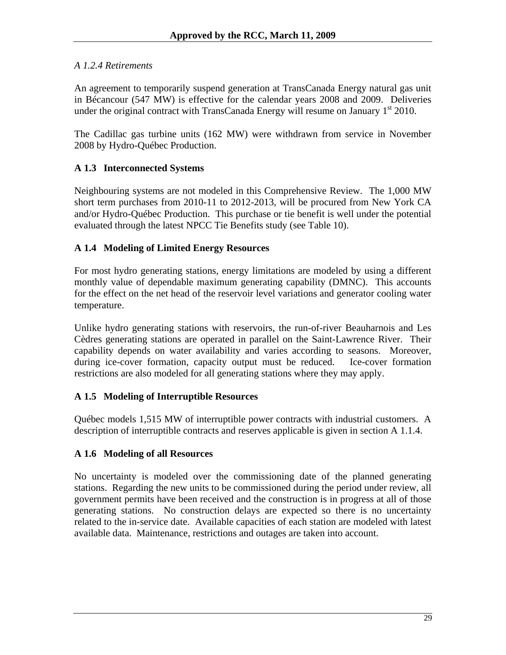## *A 1.2.4 Retirements*

An agreement to temporarily suspend generation at TransCanada Energy natural gas unit in Bécancour (547 MW) is effective for the calendar years 2008 and 2009. Deliveries under the original contract with TransCanada Energy will resume on January  $1<sup>st</sup> 2010$ .

The Cadillac gas turbine units (162 MW) were withdrawn from service in November 2008 by Hydro-Québec Production.

## **A 1.3 Interconnected Systems**

Neighbouring systems are not modeled in this Comprehensive Review. The 1,000 MW short term purchases from 2010-11 to 2012-2013, will be procured from New York CA and/or Hydro-Québec Production. This purchase or tie benefit is well under the potential evaluated through the latest NPCC Tie Benefits study (see Table 10).

## **A 1.4 Modeling of Limited Energy Resources**

For most hydro generating stations, energy limitations are modeled by using a different monthly value of dependable maximum generating capability (DMNC). This accounts for the effect on the net head of the reservoir level variations and generator cooling water temperature.

Unlike hydro generating stations with reservoirs, the run-of-river Beauharnois and Les Cèdres generating stations are operated in parallel on the Saint-Lawrence River. Their capability depends on water availability and varies according to seasons. Moreover, during ice-cover formation, capacity output must be reduced. Ice-cover formation restrictions are also modeled for all generating stations where they may apply.

#### **A 1.5 Modeling of Interruptible Resources**

Québec models 1,515 MW of interruptible power contracts with industrial customers. A description of interruptible contracts and reserves applicable is given in section A 1.1.4.

#### **A 1.6 Modeling of all Resources**

No uncertainty is modeled over the commissioning date of the planned generating stations. Regarding the new units to be commissioned during the period under review, all government permits have been received and the construction is in progress at all of those generating stations. No construction delays are expected so there is no uncertainty related to the in-service date. Available capacities of each station are modeled with latest available data. Maintenance, restrictions and outages are taken into account.